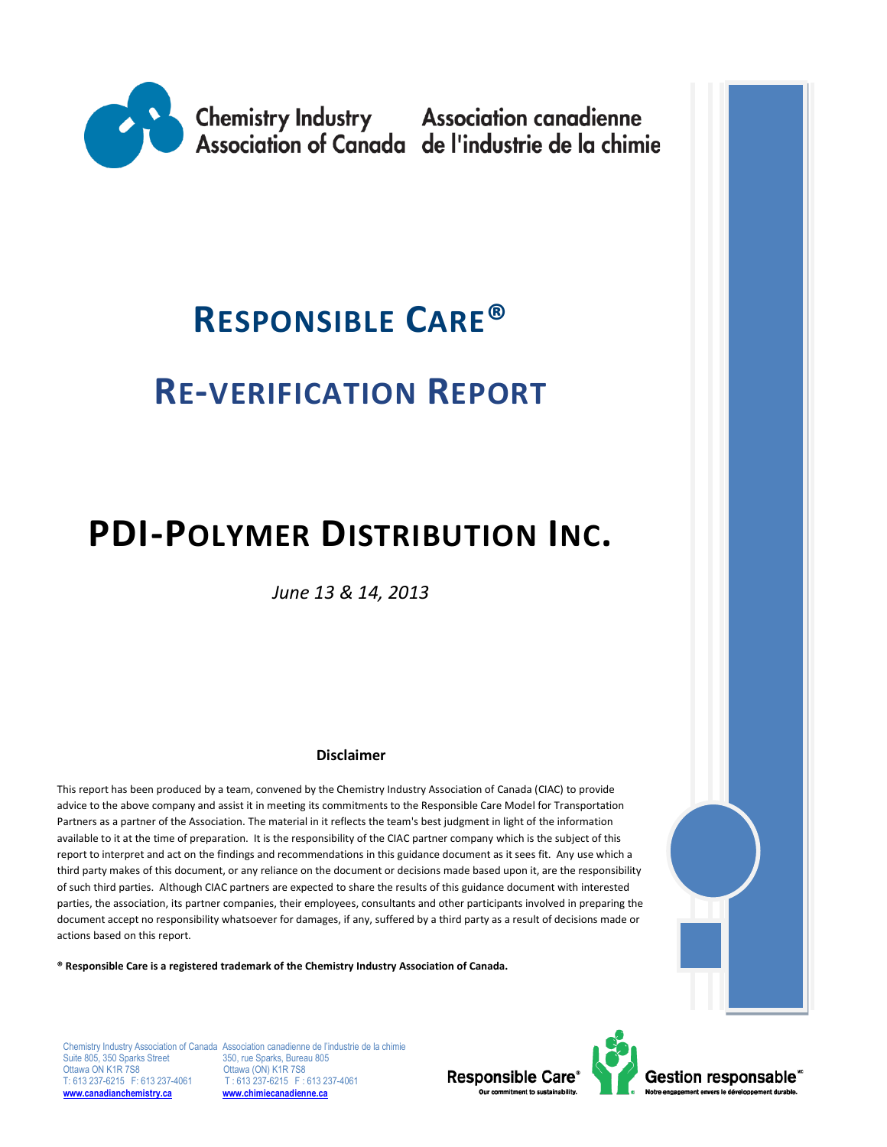

# **RESPONSIBLE CARE®**

# **RE-VERIFICATION REPORT**

# **PDI-POLYMER DISTRIBUTION INC.**

*June 13 & 14, 2013*

#### **Disclaimer**

This report has been produced by a team, convened by the Chemistry Industry Association of Canada (CIAC) to provide advice to the above company and assist it in meeting its commitments to the Responsible Care Model for Transportation Partners as a partner of the Association. The material in it reflects the team's best judgment in light of the information available to it at the time of preparation. It is the responsibility of the CIAC partner company which is the subject of this report to interpret and act on the findings and recommendations in this guidance document as it sees fit. Any use which a third party makes of this document, or any reliance on the document or decisions made based upon it, are the responsibility of such third parties. Although CIAC partners are expected to share the results of this guidance document with interested parties, the association, its partner companies, their employees, consultants and other participants involved in preparing the document accept no responsibility whatsoever for damages, if any, suffered by a third party as a result of decisions made or actions based on this report.

**® Responsible Care is a registered trademark of the Chemistry Industry Association of Canada.** 

Suite 805, 350 Sparks Street<br>Ottawa ON K1R 7S8 T: 613 237-6215 F: 613 237-4061 T: 613 237-6215 F: 613 2<br>
<u>www.canadianchemistry.ca</u> www.chimiecanadienne.ca **[www.canadianchemistry.ca](http://www.canadianchemistry.ca/) [www.chimiecanadienne.ca](http://www.chimiecanadienne.ca/)**

Chemistry Industry Association of Canada Association canadienne de l'industrie de la chimie<br>Suite 805, 350 Sparks Street 350, rue Sparks, Bureau 805 Ottawa (ON) K1R 7S8<br>T: 613 237-6215 F: 613 237-4061

Responsible Care®



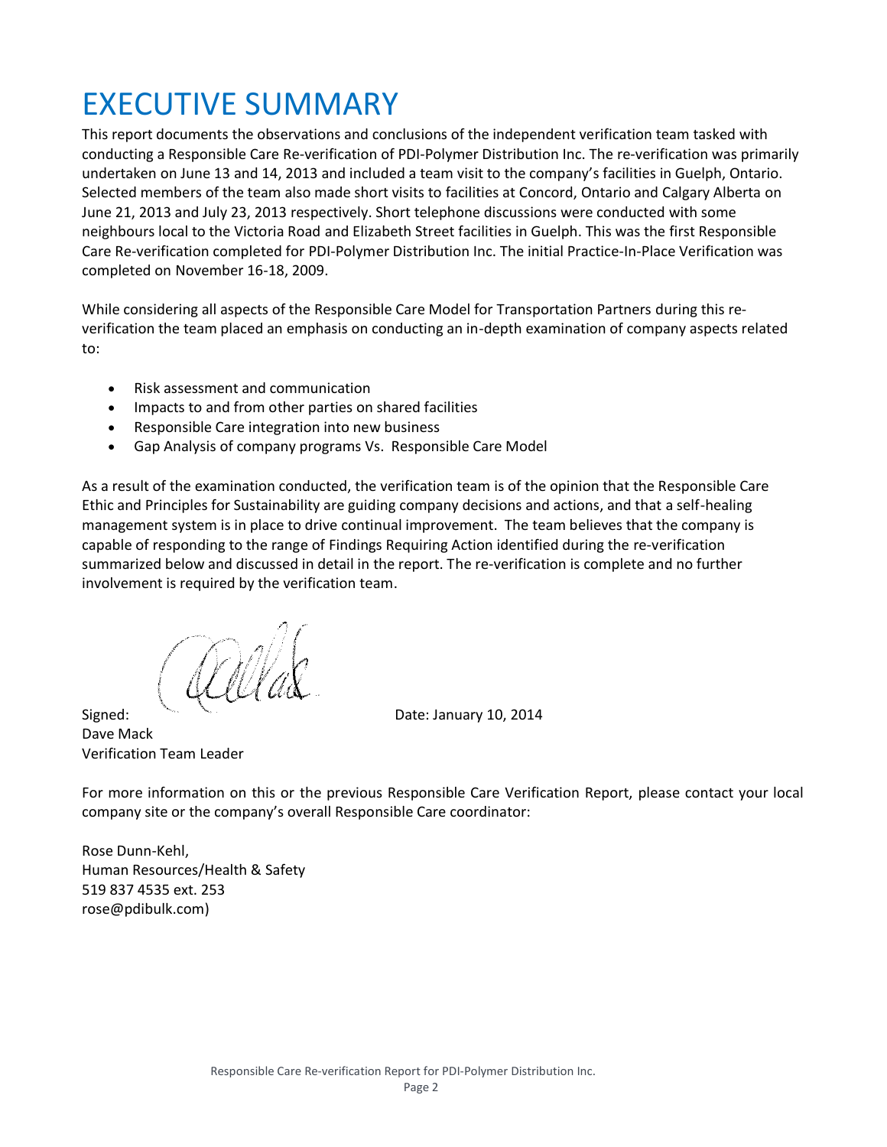# EXECUTIVE SUMMARY

This report documents the observations and conclusions of the independent verification team tasked with conducting a Responsible Care Re-verification of PDI-Polymer Distribution Inc. The re-verification was primarily undertaken on June 13 and 14, 2013 and included a team visit to the company's facilities in Guelph, Ontario. Selected members of the team also made short visits to facilities at Concord, Ontario and Calgary Alberta on June 21, 2013 and July 23, 2013 respectively. Short telephone discussions were conducted with some neighbours local to the Victoria Road and Elizabeth Street facilities in Guelph. This was the first Responsible Care Re-verification completed for PDI-Polymer Distribution Inc. The initial Practice-In-Place Verification was completed on November 16-18, 2009.

While considering all aspects of the Responsible Care Model for Transportation Partners during this reverification the team placed an emphasis on conducting an in-depth examination of company aspects related to:

- Risk assessment and communication
- Impacts to and from other parties on shared facilities
- Responsible Care integration into new business
- Gap Analysis of company programs Vs. Responsible Care Model

As a result of the examination conducted, the verification team is of the opinion that the Responsible Care Ethic and Principles for Sustainability are guiding company decisions and actions, and that a self-healing management system is in place to drive continual improvement. The team believes that the company is capable of responding to the range of Findings Requiring Action identified during the re-verification summarized below and discussed in detail in the report. The re-verification is complete and no further involvement is required by the verification team.

Signed: New York 10, 2014 Dave Mack Verification Team Leader

For more information on this or the previous Responsible Care Verification Report, please contact your local company site or the company's overall Responsible Care coordinator:

Rose Dunn-Kehl, Human Resources/Health & Safety 519 837 4535 ext. 253 rose@pdibulk.com)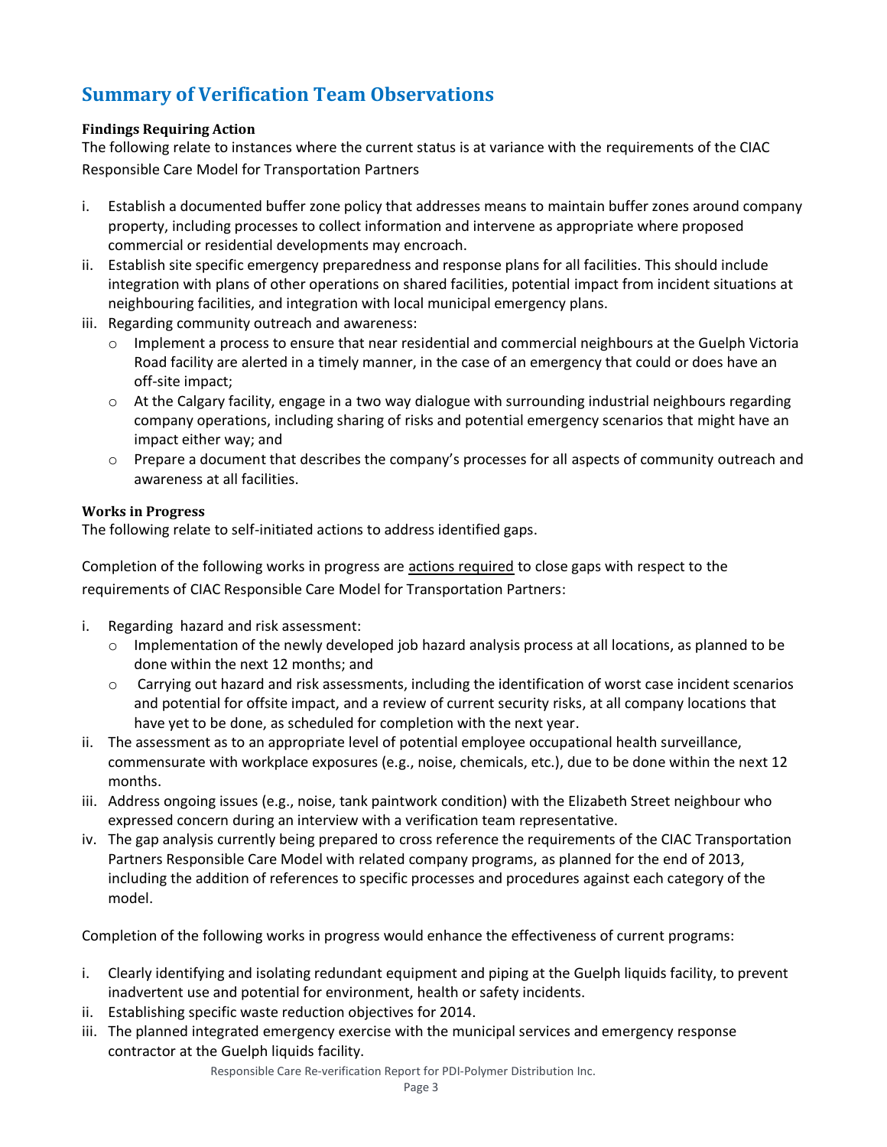# **Summary of Verification Team Observations**

# **Findings Requiring Action**

The following relate to instances where the current status is at variance with the requirements of the CIAC Responsible Care Model for Transportation Partners

- i. Establish a documented buffer zone policy that addresses means to maintain buffer zones around company property, including processes to collect information and intervene as appropriate where proposed commercial or residential developments may encroach.
- ii. Establish site specific emergency preparedness and response plans for all facilities. This should include integration with plans of other operations on shared facilities, potential impact from incident situations at neighbouring facilities, and integration with local municipal emergency plans.
- iii. Regarding community outreach and awareness:
	- o Implement a process to ensure that near residential and commercial neighbours at the Guelph Victoria Road facility are alerted in a timely manner, in the case of an emergency that could or does have an off-site impact;
	- $\circ$  At the Calgary facility, engage in a two way dialogue with surrounding industrial neighbours regarding company operations, including sharing of risks and potential emergency scenarios that might have an impact either way; and
	- o Prepare a document that describes the company's processes for all aspects of community outreach and awareness at all facilities.

# **Works in Progress**

The following relate to self-initiated actions to address identified gaps.

Completion of the following works in progress are actions required to close gaps with respect to the requirements of CIAC Responsible Care Model for Transportation Partners:

- i. Regarding hazard and risk assessment:
	- $\circ$  Implementation of the newly developed job hazard analysis process at all locations, as planned to be done within the next 12 months; and
	- o Carrying out hazard and risk assessments, including the identification of worst case incident scenarios and potential for offsite impact, and a review of current security risks, at all company locations that have yet to be done, as scheduled for completion with the next year.
- ii. The assessment as to an appropriate level of potential employee occupational health surveillance, commensurate with workplace exposures (e.g., noise, chemicals, etc.), due to be done within the next 12 months.
- iii. Address ongoing issues (e.g., noise, tank paintwork condition) with the Elizabeth Street neighbour who expressed concern during an interview with a verification team representative.
- iv. The gap analysis currently being prepared to cross reference the requirements of the CIAC Transportation Partners Responsible Care Model with related company programs, as planned for the end of 2013, including the addition of references to specific processes and procedures against each category of the model.

Completion of the following works in progress would enhance the effectiveness of current programs:

- i. Clearly identifying and isolating redundant equipment and piping at the Guelph liquids facility, to prevent inadvertent use and potential for environment, health or safety incidents.
- ii. Establishing specific waste reduction objectives for 2014.
- iii. The planned integrated emergency exercise with the municipal services and emergency response contractor at the Guelph liquids facility.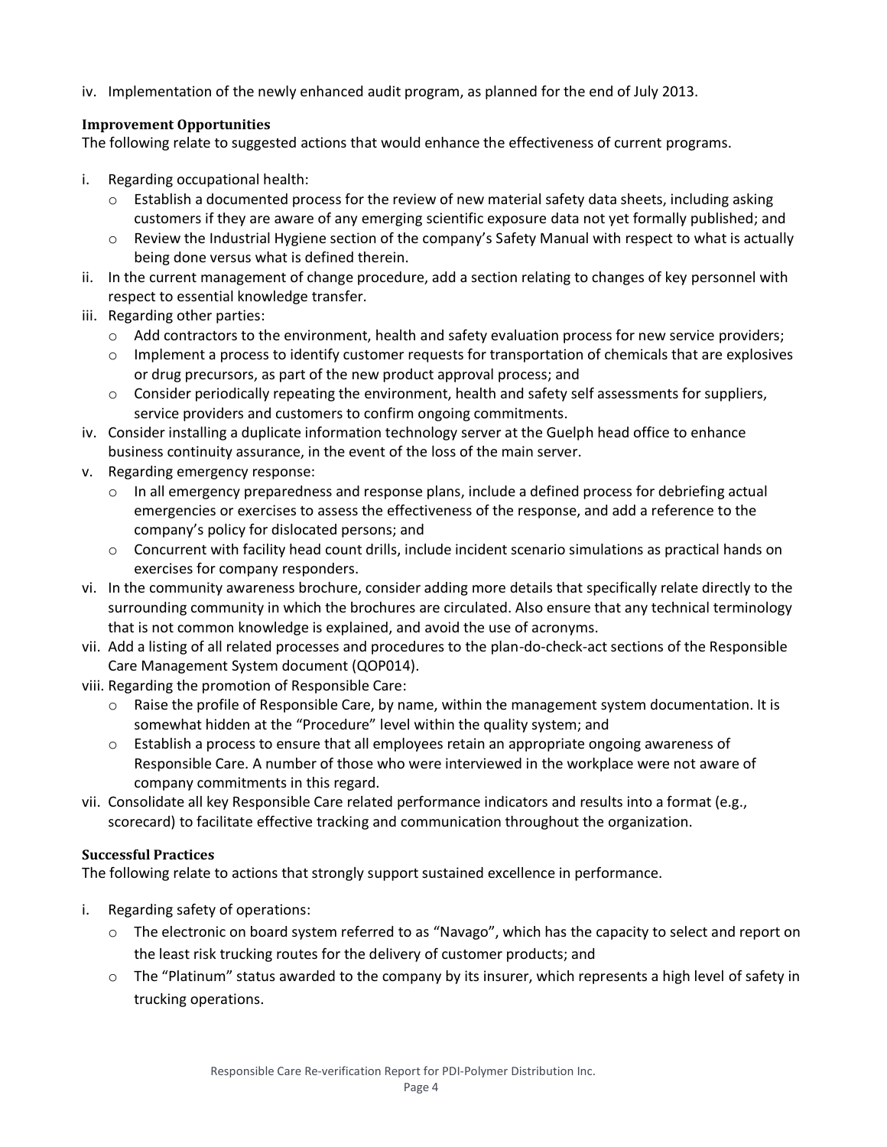iv. Implementation of the newly enhanced audit program, as planned for the end of July 2013.

# **Improvement Opportunities**

The following relate to suggested actions that would enhance the effectiveness of current programs.

- i. Regarding occupational health:
	- $\circ$  Establish a documented process for the review of new material safety data sheets, including asking customers if they are aware of any emerging scientific exposure data not yet formally published; and
	- o Review the Industrial Hygiene section of the company's Safety Manual with respect to what is actually being done versus what is defined therein.
- ii. In the current management of change procedure, add a section relating to changes of key personnel with respect to essential knowledge transfer.
- iii. Regarding other parties:
	- o Add contractors to the environment, health and safety evaluation process for new service providers;
	- o Implement a process to identify customer requests for transportation of chemicals that are explosives or drug precursors, as part of the new product approval process; and
	- o Consider periodically repeating the environment, health and safety self assessments for suppliers, service providers and customers to confirm ongoing commitments.
- iv. Consider installing a duplicate information technology server at the Guelph head office to enhance business continuity assurance, in the event of the loss of the main server.
- v. Regarding emergency response:
	- $\circ$  In all emergency preparedness and response plans, include a defined process for debriefing actual emergencies or exercises to assess the effectiveness of the response, and add a reference to the company's policy for dislocated persons; and
	- o Concurrent with facility head count drills, include incident scenario simulations as practical hands on exercises for company responders.
- vi. In the community awareness brochure, consider adding more details that specifically relate directly to the surrounding community in which the brochures are circulated. Also ensure that any technical terminology that is not common knowledge is explained, and avoid the use of acronyms.
- vii. Add a listing of all related processes and procedures to the plan-do-check-act sections of the Responsible Care Management System document (QOP014).
- viii. Regarding the promotion of Responsible Care:
	- $\circ$  Raise the profile of Responsible Care, by name, within the management system documentation. It is somewhat hidden at the "Procedure" level within the quality system; and
	- o Establish a process to ensure that all employees retain an appropriate ongoing awareness of Responsible Care. A number of those who were interviewed in the workplace were not aware of company commitments in this regard.
- vii. Consolidate all key Responsible Care related performance indicators and results into a format (e.g., scorecard) to facilitate effective tracking and communication throughout the organization.

## **Successful Practices**

The following relate to actions that strongly support sustained excellence in performance.

- i. Regarding safety of operations:
	- o The electronic on board system referred to as "Navago", which has the capacity to select and report on the least risk trucking routes for the delivery of customer products; and
	- o The "Platinum" status awarded to the company by its insurer, which represents a high level of safety in trucking operations.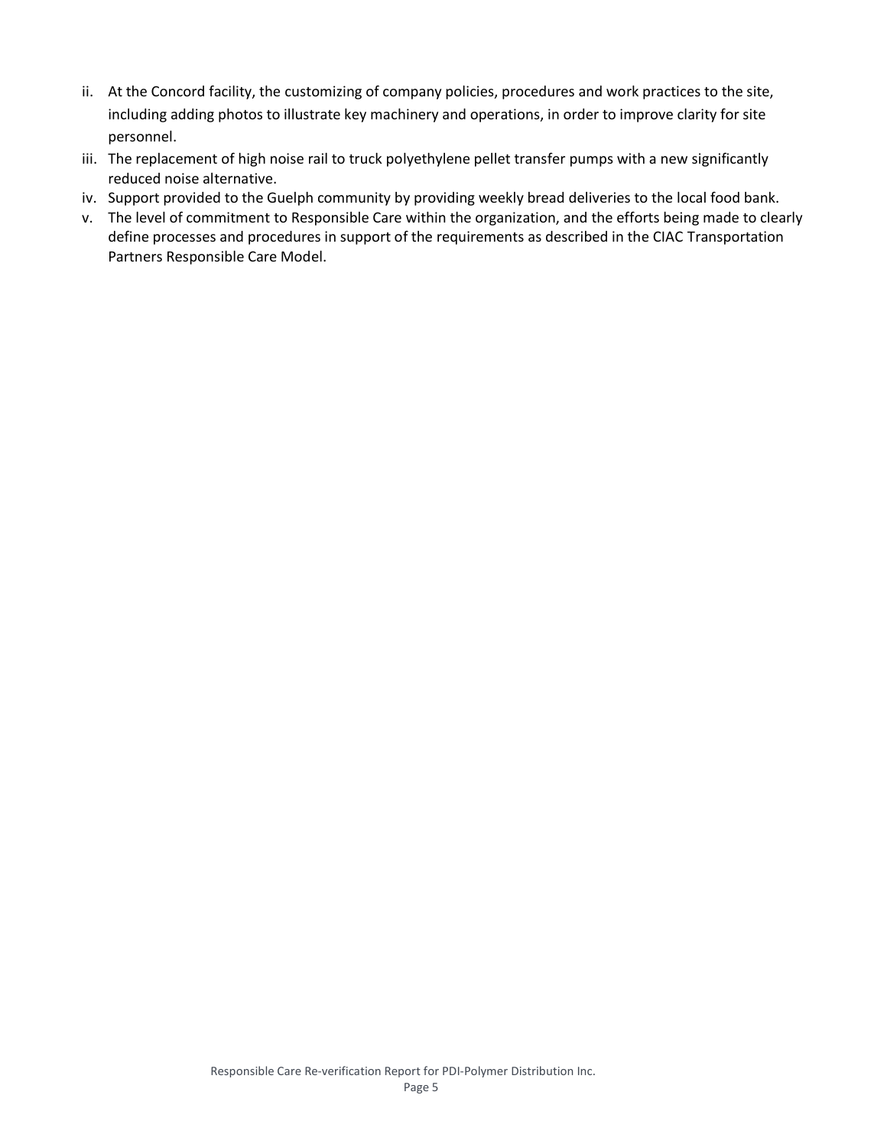- ii. At the Concord facility, the customizing of company policies, procedures and work practices to the site, including adding photos to illustrate key machinery and operations, in order to improve clarity for site personnel.
- iii. The replacement of high noise rail to truck polyethylene pellet transfer pumps with a new significantly reduced noise alternative.
- iv. Support provided to the Guelph community by providing weekly bread deliveries to the local food bank.
- v. The level of commitment to Responsible Care within the organization, and the efforts being made to clearly define processes and procedures in support of the requirements as described in the CIAC Transportation Partners Responsible Care Model.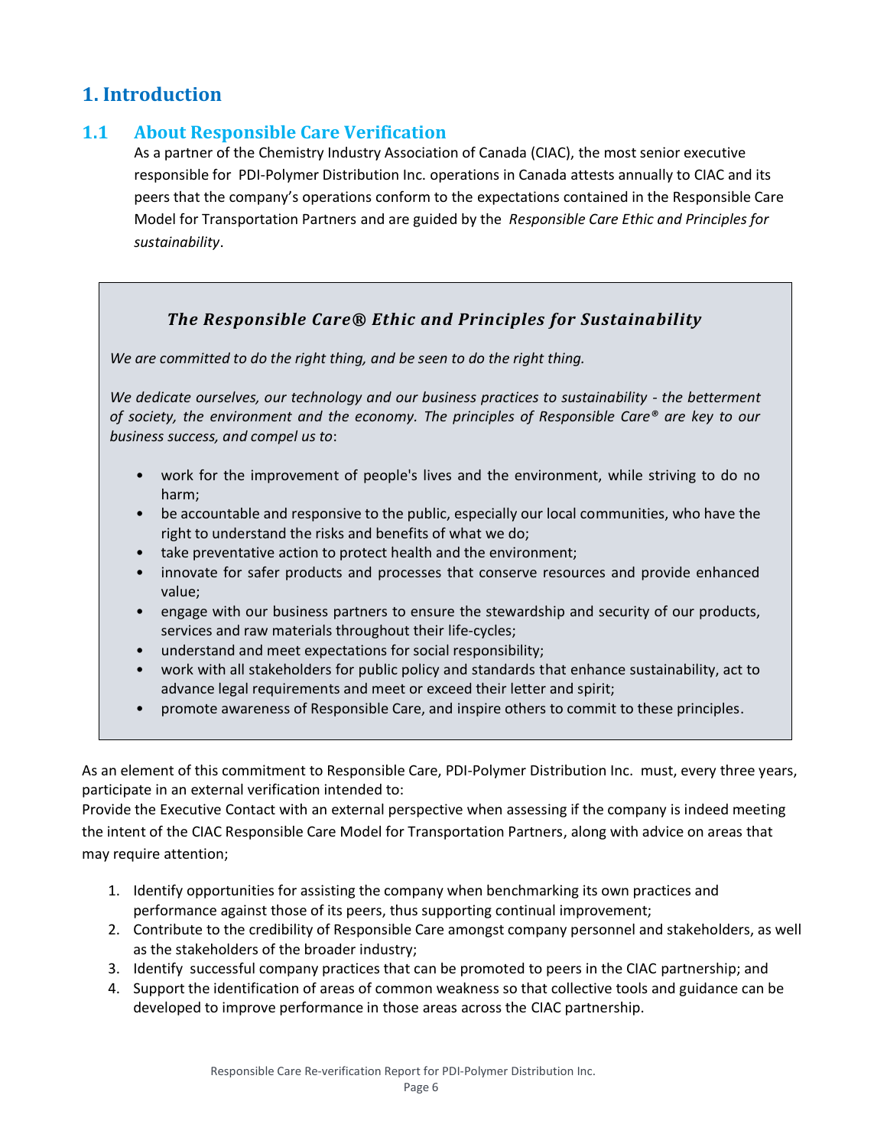# **1. Introduction**

# **1.1 About Responsible Care Verification**

As a partner of the Chemistry Industry Association of Canada (CIAC), the most senior executive responsible for PDI-Polymer Distribution Inc. operations in Canada attests annually to CIAC and its peers that the company's operations conform to the expectations contained in the Responsible Care Model for Transportation Partners and are guided by the *Responsible Care Ethic and Principles for sustainability*.

# *The Responsible Care® Ethic and Principles for Sustainability*

*We are committed to do the right thing, and be seen to do the right thing.*

*We dedicate ourselves, our technology and our business practices to sustainability - the betterment of society, the environment and the economy. The principles of Responsible Care® are key to our business success, and compel us to*:

- work for the improvement of people's lives and the environment, while striving to do no harm;
- be accountable and responsive to the public, especially our local communities, who have the right to understand the risks and benefits of what we do;
- take preventative action to protect health and the environment;
- innovate for safer products and processes that conserve resources and provide enhanced value;
- engage with our business partners to ensure the stewardship and security of our products, services and raw materials throughout their life-cycles;
- understand and meet expectations for social responsibility;
- work with all stakeholders for public policy and standards that enhance sustainability, act to advance legal requirements and meet or exceed their letter and spirit;
- promote awareness of Responsible Care, and inspire others to commit to these principles.

As an element of this commitment to Responsible Care, PDI-Polymer Distribution Inc. must, every three years, participate in an external verification intended to:

Provide the Executive Contact with an external perspective when assessing if the company is indeed meeting the intent of the CIAC Responsible Care Model for Transportation Partners, along with advice on areas that may require attention;

- 1. Identify opportunities for assisting the company when benchmarking its own practices and performance against those of its peers, thus supporting continual improvement;
- 2. Contribute to the credibility of Responsible Care amongst company personnel and stakeholders, as well as the stakeholders of the broader industry;
- 3. Identify successful company practices that can be promoted to peers in the CIAC partnership; and
- 4. Support the identification of areas of common weakness so that collective tools and guidance can be developed to improve performance in those areas across the CIAC partnership.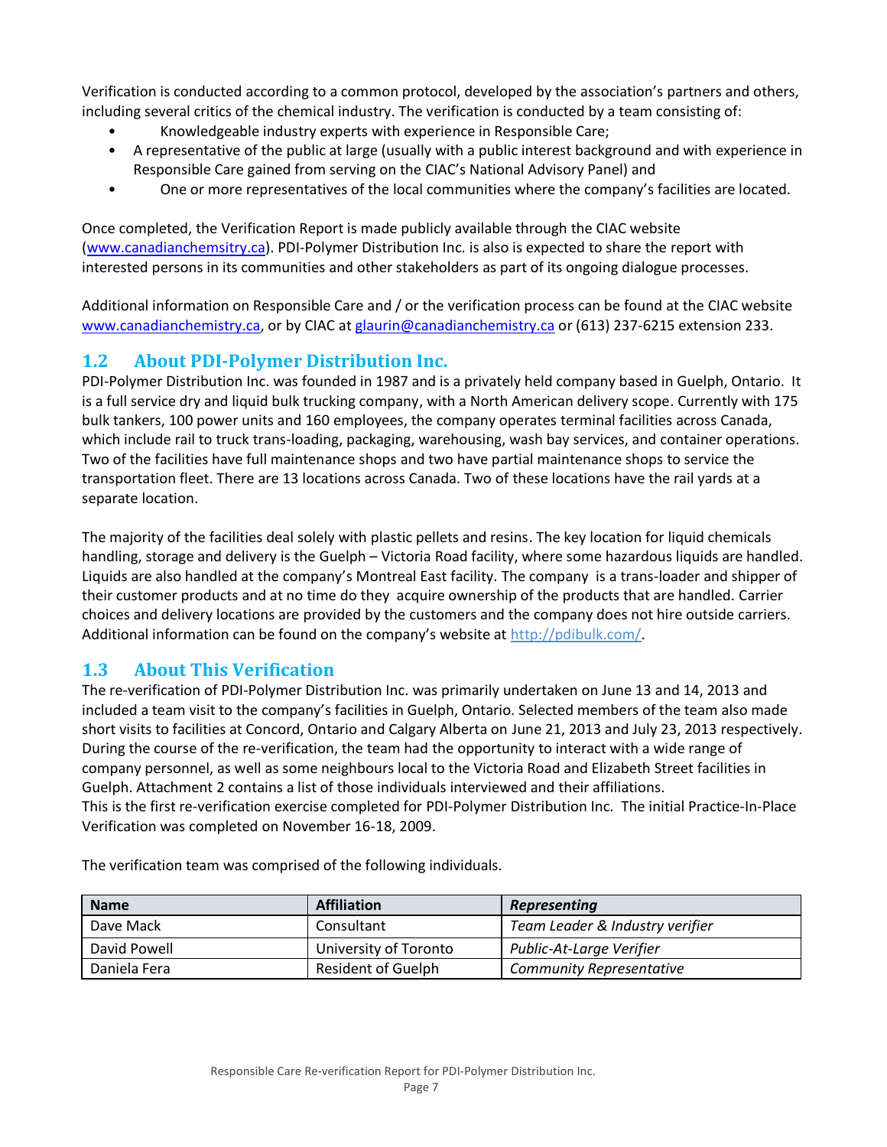Verification is conducted according to a common protocol, developed by the association's partners and others, including several critics of the chemical industry. The verification is conducted by a team consisting of:

- Knowledgeable industry experts with experience in Responsible Care;
- A representative of the public at large (usually with a public interest background and with experience in Responsible Care gained from serving on the CIAC's National Advisory Panel) and
- One or more representatives of the local communities where the company's facilities are located.

Once completed, the Verification Report is made publicly available through the CIAC website [\(www.canadianchemsitry.ca\)](http://www.canadianchemsitry.ca/). PDI-Polymer Distribution Inc. is also is expected to share the report with interested persons in its communities and other stakeholders as part of its ongoing dialogue processes.

Additional information on Responsible Care and / or the verification process can be found at the CIAC website [www.canadianchemistry.ca,](http://www.canadianchemistry.ca/) or by CIAC at [glaurin@canadianchemistry.ca](mailto:glaurin@canadianchemistry.ca) or (613) 237-6215 extension 233.

# **1.2 About PDI-Polymer Distribution Inc.**

PDI-Polymer Distribution Inc. was founded in 1987 and is a privately held company based in Guelph, Ontario. It is a full service dry and liquid bulk trucking company, with a North American delivery scope. Currently with 175 bulk tankers, 100 power units and 160 employees, the company operates terminal facilities across Canada, which include rail to truck trans-loading, packaging, warehousing, wash bay services, and container operations. Two of the facilities have full maintenance shops and two have partial maintenance shops to service the transportation fleet. There are 13 locations across Canada. Two of these locations have the rail yards at a separate location.

The majority of the facilities deal solely with plastic pellets and resins. The key location for liquid chemicals handling, storage and delivery is the Guelph – Victoria Road facility, where some hazardous liquids are handled. Liquids are also handled at the company's Montreal East facility. The company is a trans-loader and shipper of their customer products and at no time do they acquire ownership of the products that are handled. Carrier choices and delivery locations are provided by the customers and the company does not hire outside carriers. Additional information can be found on the company's website at http://pdibulk.com/

# **1.3 About This Verification**

The re-verification of PDI-Polymer Distribution Inc. was primarily undertaken on June 13 and 14, 2013 and included a team visit to the company's facilities in Guelph, Ontario. Selected members of the team also made short visits to facilities at Concord, Ontario and Calgary Alberta on June 21, 2013 and July 23, 2013 respectively. During the course of the re-verification, the team had the opportunity to interact with a wide range of company personnel, as well as some neighbours local to the Victoria Road and Elizabeth Street facilities in Guelph. Attachment 2 contains a list of those individuals interviewed and their affiliations. This is the first re-verification exercise completed for PDI-Polymer Distribution Inc. The initial Practice-In-Place Verification was completed on November 16-18, 2009.

**Name Affiliation** *Representing* Dave Mack Consultant *Team Leader & Industry verifier* David Powell University of Toronto *Public-At-Large Verifier* Daniela Fera Resident of Guelph *Community Representative*

The verification team was comprised of the following individuals.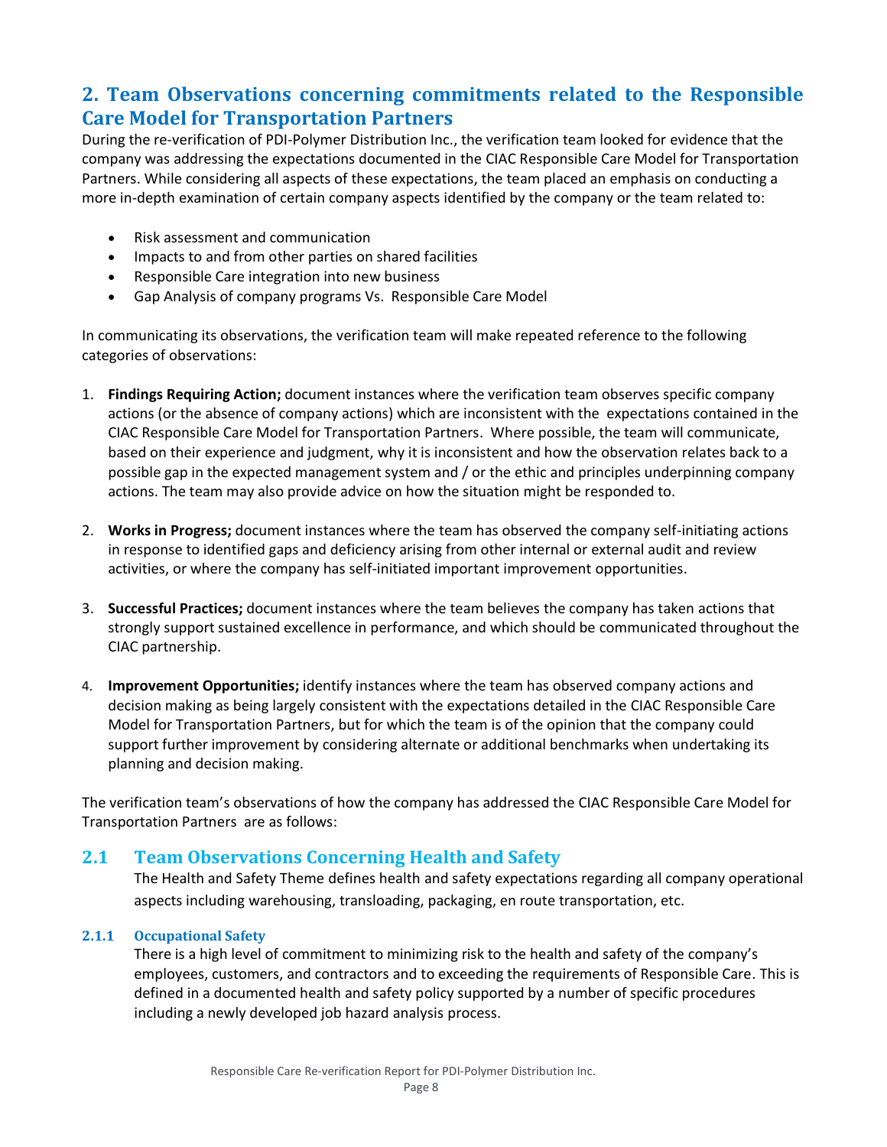# **2. Team Observations concerning commitments related to the Responsible Care Model for Transportation Partners**

During the re-verification of PDI-Polymer Distribution Inc., the verification team looked for evidence that the company was addressing the expectations documented in the CIAC Responsible Care Model for Transportation Partners. While considering all aspects of these expectations, the team placed an emphasis on conducting a more in-depth examination of certain company aspects identified by the company or the team related to:

- Risk assessment and communication
- Impacts to and from other parties on shared facilities
- Responsible Care integration into new business
- Gap Analysis of company programs Vs. Responsible Care Model

In communicating its observations, the verification team will make repeated reference to the following categories of observations:

- 1. **Findings Requiring Action;** document instances where the verification team observes specific company actions (or the absence of company actions) which are inconsistent with the expectations contained in the CIAC Responsible Care Model for Transportation Partners. Where possible, the team will communicate, based on their experience and judgment, why it is inconsistent and how the observation relates back to a possible gap in the expected management system and / or the ethic and principles underpinning company actions. The team may also provide advice on how the situation might be responded to.
- 2. **Works in Progress;** document instances where the team has observed the company self-initiating actions in response to identified gaps and deficiency arising from other internal or external audit and review activities, or where the company has self-initiated important improvement opportunities.
- 3. **Successful Practices;** document instances where the team believes the company has taken actions that strongly support sustained excellence in performance, and which should be communicated throughout the CIAC partnership.
- 4. **Improvement Opportunities;** identify instances where the team has observed company actions and decision making as being largely consistent with the expectations detailed in the CIAC Responsible Care Model for Transportation Partners, but for which the team is of the opinion that the company could support further improvement by considering alternate or additional benchmarks when undertaking its planning and decision making.

The verification team's observations of how the company has addressed the CIAC Responsible Care Model for Transportation Partners are as follows:

# **2.1 Team Observations Concerning Health and Safety**

The Health and Safety Theme defines health and safety expectations regarding all company operational aspects including warehousing, transloading, packaging, en route transportation, etc.

## **2.1.1 Occupational Safety**

There is a high level of commitment to minimizing risk to the health and safety of the company's employees, customers, and contractors and to exceeding the requirements of Responsible Care. This is defined in a documented health and safety policy supported by a number of specific procedures including a newly developed job hazard analysis process.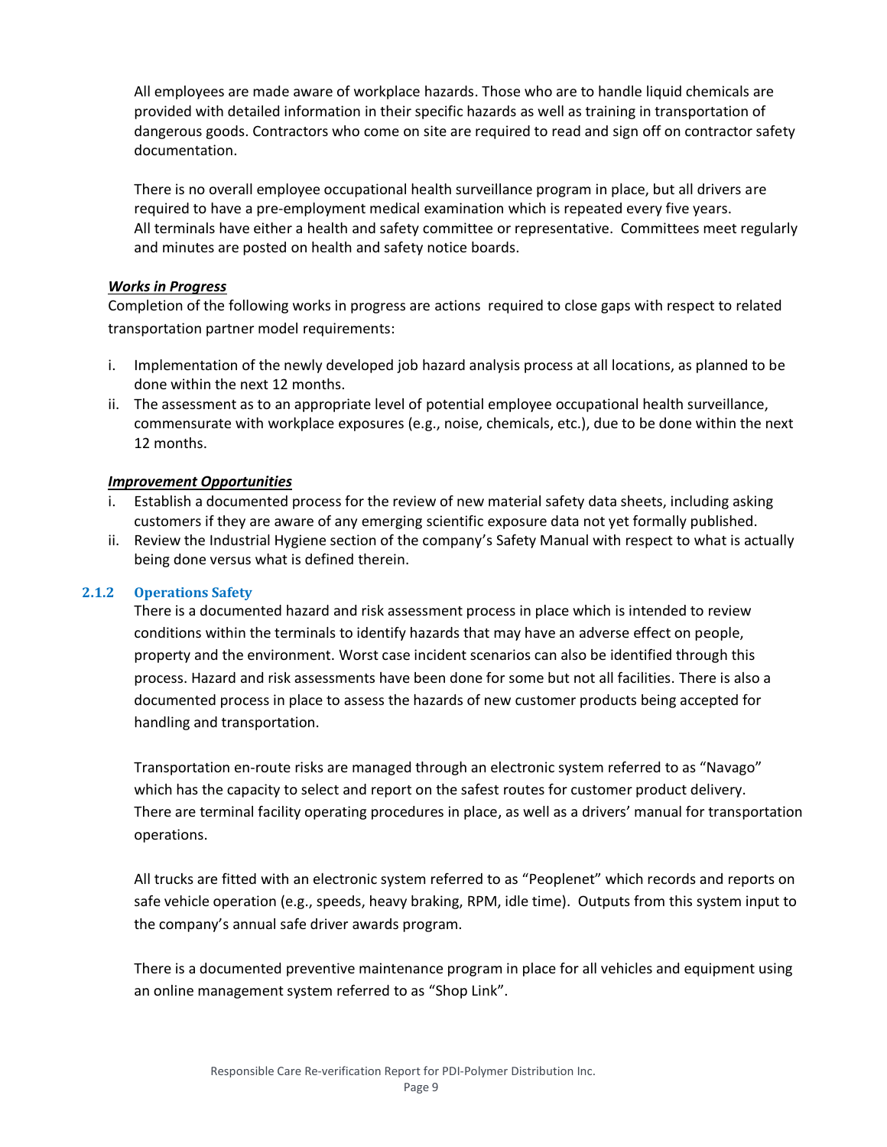All employees are made aware of workplace hazards. Those who are to handle liquid chemicals are provided with detailed information in their specific hazards as well as training in transportation of dangerous goods. Contractors who come on site are required to read and sign off on contractor safety documentation.

There is no overall employee occupational health surveillance program in place, but all drivers are required to have a pre-employment medical examination which is repeated every five years. All terminals have either a health and safety committee or representative. Committees meet regularly and minutes are posted on health and safety notice boards.

# *Works in Progress*

Completion of the following works in progress are actions required to close gaps with respect to related transportation partner model requirements:

- i. Implementation of the newly developed job hazard analysis process at all locations, as planned to be done within the next 12 months.
- ii. The assessment as to an appropriate level of potential employee occupational health surveillance, commensurate with workplace exposures (e.g., noise, chemicals, etc.), due to be done within the next 12 months.

# *Improvement Opportunities*

- Establish a documented process for the review of new material safety data sheets, including asking customers if they are aware of any emerging scientific exposure data not yet formally published.
- ii. Review the Industrial Hygiene section of the company's Safety Manual with respect to what is actually being done versus what is defined therein.

# **2.1.2 Operations Safety**

There is a documented hazard and risk assessment process in place which is intended to review conditions within the terminals to identify hazards that may have an adverse effect on people, property and the environment. Worst case incident scenarios can also be identified through this process. Hazard and risk assessments have been done for some but not all facilities. There is also a documented process in place to assess the hazards of new customer products being accepted for handling and transportation.

Transportation en-route risks are managed through an electronic system referred to as "Navago" which has the capacity to select and report on the safest routes for customer product delivery. There are terminal facility operating procedures in place, as well as a drivers' manual for transportation operations.

All trucks are fitted with an electronic system referred to as "Peoplenet" which records and reports on safe vehicle operation (e.g., speeds, heavy braking, RPM, idle time). Outputs from this system input to the company's annual safe driver awards program.

There is a documented preventive maintenance program in place for all vehicles and equipment using an online management system referred to as "Shop Link".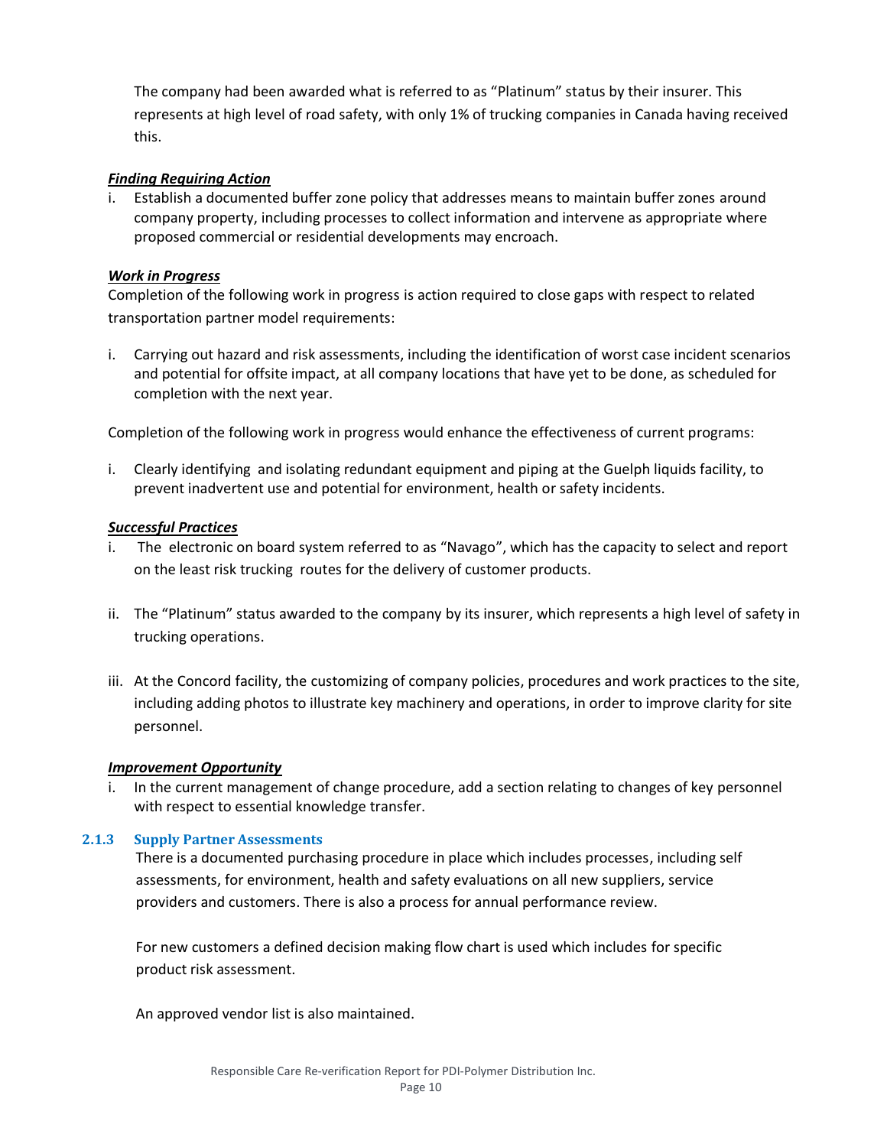The company had been awarded what is referred to as "Platinum" status by their insurer. This represents at high level of road safety, with only 1% of trucking companies in Canada having received this.

# *Finding Requiring Action*

i. Establish a documented buffer zone policy that addresses means to maintain buffer zones around company property, including processes to collect information and intervene as appropriate where proposed commercial or residential developments may encroach.

## *Work in Progress*

Completion of the following work in progress is action required to close gaps with respect to related transportation partner model requirements:

i. Carrying out hazard and risk assessments, including the identification of worst case incident scenarios and potential for offsite impact, at all company locations that have yet to be done, as scheduled for completion with the next year.

Completion of the following work in progress would enhance the effectiveness of current programs:

i. Clearly identifying and isolating redundant equipment and piping at the Guelph liquids facility, to prevent inadvertent use and potential for environment, health or safety incidents.

## *Successful Practices*

- The electronic on board system referred to as "Navago", which has the capacity to select and report on the least risk trucking routes for the delivery of customer products.
- ii. The "Platinum" status awarded to the company by its insurer, which represents a high level of safety in trucking operations.
- iii. At the Concord facility, the customizing of company policies, procedures and work practices to the site, including adding photos to illustrate key machinery and operations, in order to improve clarity for site personnel.

## *Improvement Opportunity*

In the current management of change procedure, add a section relating to changes of key personnel with respect to essential knowledge transfer.

## **2.1.3 Supply Partner Assessments**

There is a documented purchasing procedure in place which includes processes, including self assessments, for environment, health and safety evaluations on all new suppliers, service providers and customers. There is also a process for annual performance review.

For new customers a defined decision making flow chart is used which includes for specific product risk assessment.

An approved vendor list is also maintained.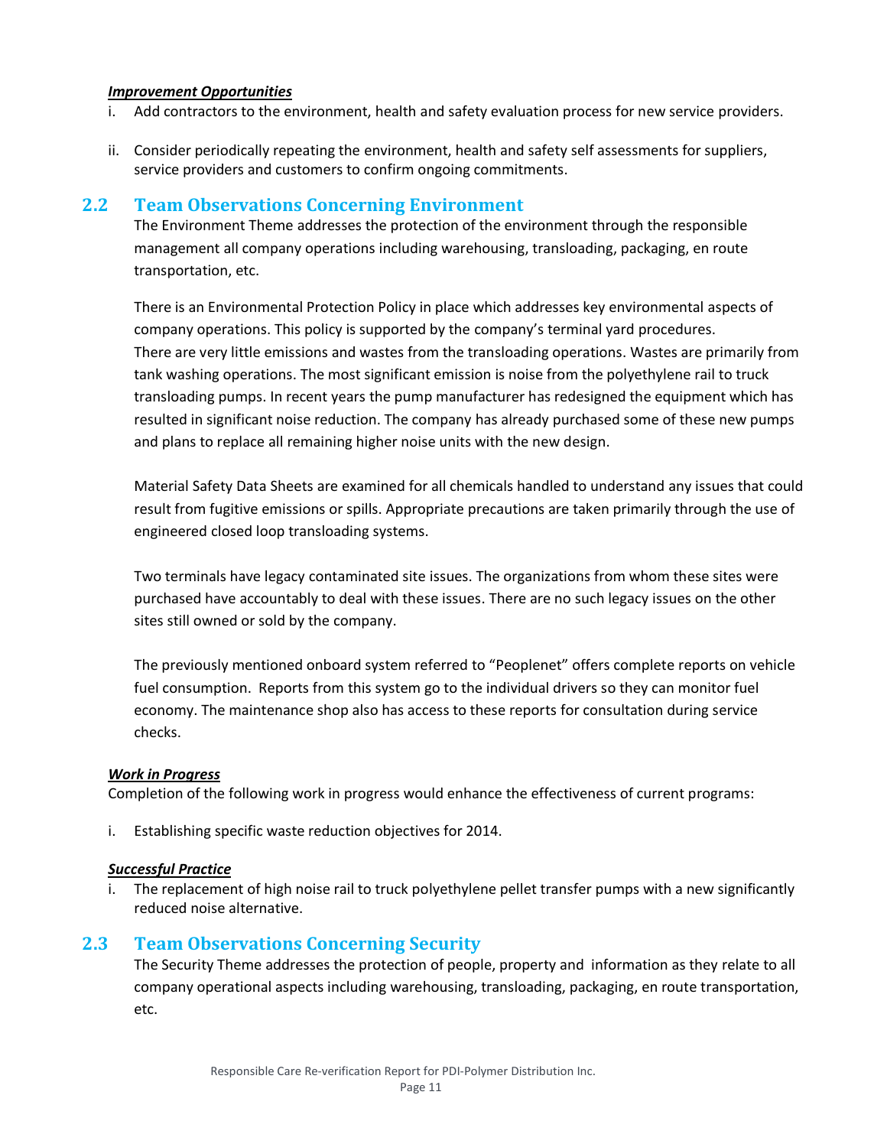# *Improvement Opportunities*

- i. Add contractors to the environment, health and safety evaluation process for new service providers.
- ii. Consider periodically repeating the environment, health and safety self assessments for suppliers, service providers and customers to confirm ongoing commitments.

# **2.2 Team Observations Concerning Environment**

The Environment Theme addresses the protection of the environment through the responsible management all company operations including warehousing, transloading, packaging, en route transportation, etc.

There is an Environmental Protection Policy in place which addresses key environmental aspects of company operations. This policy is supported by the company's terminal yard procedures. There are very little emissions and wastes from the transloading operations. Wastes are primarily from tank washing operations. The most significant emission is noise from the polyethylene rail to truck transloading pumps. In recent years the pump manufacturer has redesigned the equipment which has resulted in significant noise reduction. The company has already purchased some of these new pumps and plans to replace all remaining higher noise units with the new design.

Material Safety Data Sheets are examined for all chemicals handled to understand any issues that could result from fugitive emissions or spills. Appropriate precautions are taken primarily through the use of engineered closed loop transloading systems.

Two terminals have legacy contaminated site issues. The organizations from whom these sites were purchased have accountably to deal with these issues. There are no such legacy issues on the other sites still owned or sold by the company.

The previously mentioned onboard system referred to "Peoplenet" offers complete reports on vehicle fuel consumption. Reports from this system go to the individual drivers so they can monitor fuel economy. The maintenance shop also has access to these reports for consultation during service checks.

## *Work in Progress*

Completion of the following work in progress would enhance the effectiveness of current programs:

i. Establishing specific waste reduction objectives for 2014.

## *Successful Practice*

i. The replacement of high noise rail to truck polyethylene pellet transfer pumps with a new significantly reduced noise alternative.

# **2.3 Team Observations Concerning Security**

The Security Theme addresses the protection of people, property and information as they relate to all company operational aspects including warehousing, transloading, packaging, en route transportation, etc.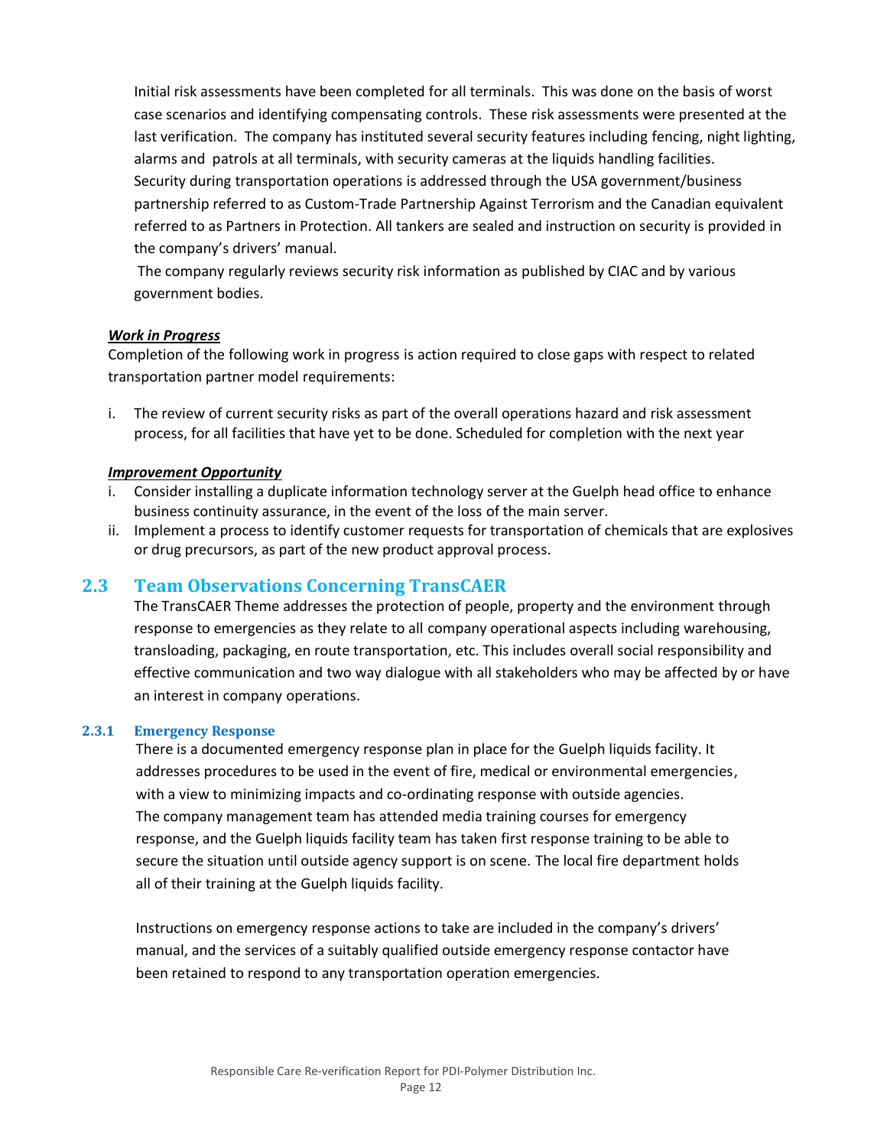Initial risk assessments have been completed for all terminals. This was done on the basis of worst case scenarios and identifying compensating controls. These risk assessments were presented at the last verification. The company has instituted several security features including fencing, night lighting, alarms and patrols at all terminals, with security cameras at the liquids handling facilities. Security during transportation operations is addressed through the USA government/business partnership referred to as Custom-Trade Partnership Against Terrorism and the Canadian equivalent referred to as Partners in Protection. All tankers are sealed and instruction on security is provided in the company's drivers' manual.

The company regularly reviews security risk information as published by CIAC and by various government bodies.

## *Work in Progress*

Completion of the following work in progress is action required to close gaps with respect to related transportation partner model requirements:

i. The review of current security risks as part of the overall operations hazard and risk assessment process, for all facilities that have yet to be done. Scheduled for completion with the next year

#### *Improvement Opportunity*

- i. Consider installing a duplicate information technology server at the Guelph head office to enhance business continuity assurance, in the event of the loss of the main server.
- ii. Implement a process to identify customer requests for transportation of chemicals that are explosives or drug precursors, as part of the new product approval process.

# **2.3 Team Observations Concerning TransCAER**

The TransCAER Theme addresses the protection of people, property and the environment through response to emergencies as they relate to all company operational aspects including warehousing, transloading, packaging, en route transportation, etc. This includes overall social responsibility and effective communication and two way dialogue with all stakeholders who may be affected by or have an interest in company operations.

#### **2.3.1 Emergency Response**

There is a documented emergency response plan in place for the Guelph liquids facility. It addresses procedures to be used in the event of fire, medical or environmental emergencies, with a view to minimizing impacts and co-ordinating response with outside agencies. The company management team has attended media training courses for emergency response, and the Guelph liquids facility team has taken first response training to be able to secure the situation until outside agency support is on scene. The local fire department holds all of their training at the Guelph liquids facility.

Instructions on emergency response actions to take are included in the company's drivers' manual, and the services of a suitably qualified outside emergency response contactor have been retained to respond to any transportation operation emergencies.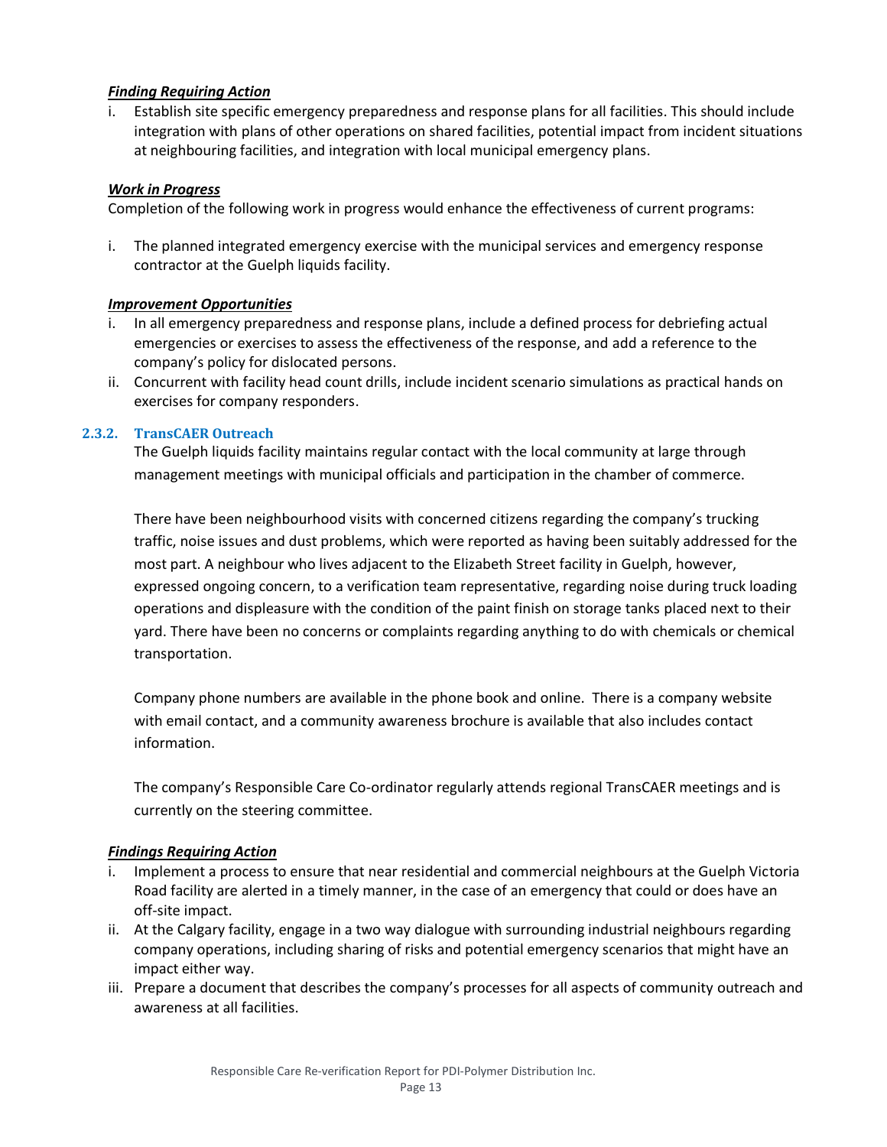# *Finding Requiring Action*

i. Establish site specific emergency preparedness and response plans for all facilities. This should include integration with plans of other operations on shared facilities, potential impact from incident situations at neighbouring facilities, and integration with local municipal emergency plans.

# *Work in Progress*

Completion of the following work in progress would enhance the effectiveness of current programs:

i. The planned integrated emergency exercise with the municipal services and emergency response contractor at the Guelph liquids facility.

## *Improvement Opportunities*

- i. In all emergency preparedness and response plans, include a defined process for debriefing actual emergencies or exercises to assess the effectiveness of the response, and add a reference to the company's policy for dislocated persons.
- ii. Concurrent with facility head count drills, include incident scenario simulations as practical hands on exercises for company responders.

# **2.3.2. TransCAER Outreach**

The Guelph liquids facility maintains regular contact with the local community at large through management meetings with municipal officials and participation in the chamber of commerce.

There have been neighbourhood visits with concerned citizens regarding the company's trucking traffic, noise issues and dust problems, which were reported as having been suitably addressed for the most part. A neighbour who lives adjacent to the Elizabeth Street facility in Guelph, however, expressed ongoing concern, to a verification team representative, regarding noise during truck loading operations and displeasure with the condition of the paint finish on storage tanks placed next to their yard. There have been no concerns or complaints regarding anything to do with chemicals or chemical transportation.

Company phone numbers are available in the phone book and online. There is a company website with email contact, and a community awareness brochure is available that also includes contact information.

The company's Responsible Care Co-ordinator regularly attends regional TransCAER meetings and is currently on the steering committee.

# *Findings Requiring Action*

- i. Implement a process to ensure that near residential and commercial neighbours at the Guelph Victoria Road facility are alerted in a timely manner, in the case of an emergency that could or does have an off-site impact.
- ii. At the Calgary facility, engage in a two way dialogue with surrounding industrial neighbours regarding company operations, including sharing of risks and potential emergency scenarios that might have an impact either way.
- iii. Prepare a document that describes the company's processes for all aspects of community outreach and awareness at all facilities.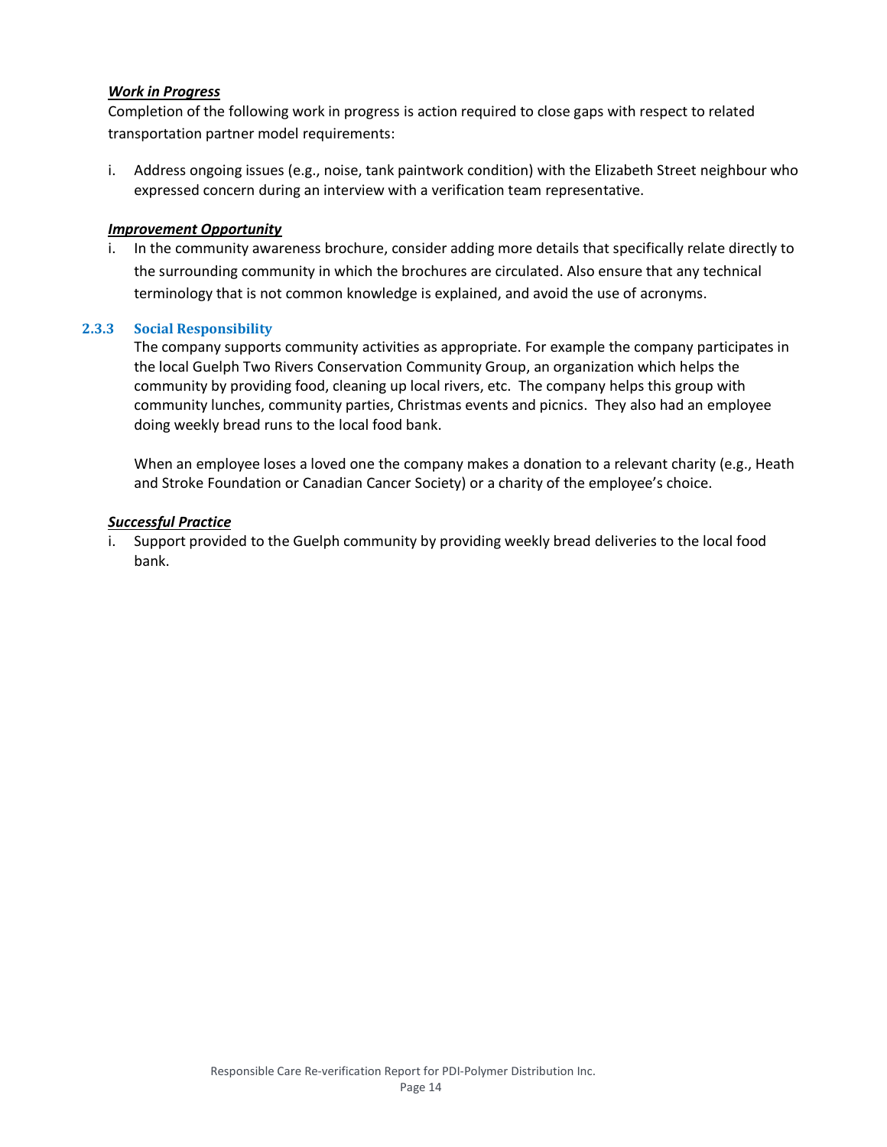# *Work in Progress*

Completion of the following work in progress is action required to close gaps with respect to related transportation partner model requirements:

i. Address ongoing issues (e.g., noise, tank paintwork condition) with the Elizabeth Street neighbour who expressed concern during an interview with a verification team representative.

## *Improvement Opportunity*

i. In the community awareness brochure, consider adding more details that specifically relate directly to the surrounding community in which the brochures are circulated. Also ensure that any technical terminology that is not common knowledge is explained, and avoid the use of acronyms.

#### **2.3.3 Social Responsibility**

The company supports community activities as appropriate. For example the company participates in the local Guelph Two Rivers Conservation Community Group, an organization which helps the community by providing food, cleaning up local rivers, etc. The company helps this group with community lunches, community parties, Christmas events and picnics. They also had an employee doing weekly bread runs to the local food bank.

When an employee loses a loved one the company makes a donation to a relevant charity (e.g., Heath and Stroke Foundation or Canadian Cancer Society) or a charity of the employee's choice.

#### *Successful Practice*

i. Support provided to the Guelph community by providing weekly bread deliveries to the local food bank.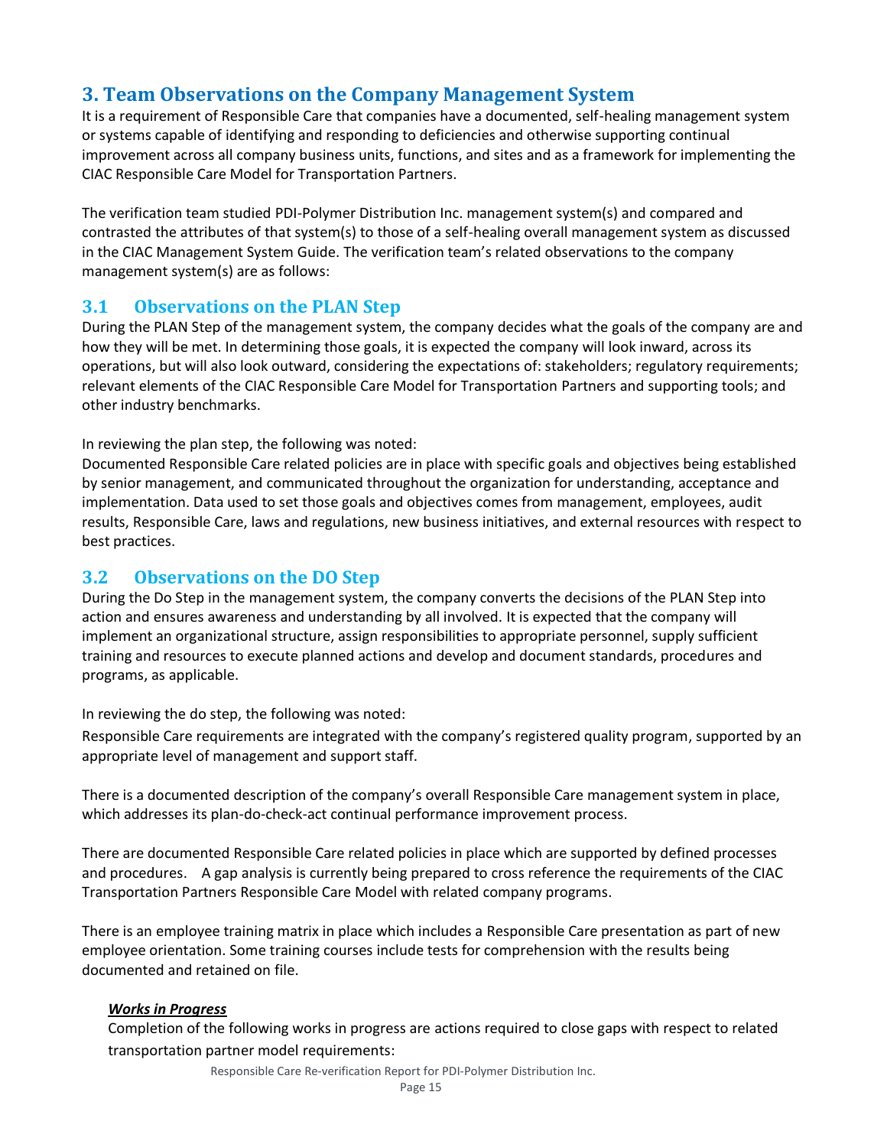# **3. Team Observations on the Company Management System**

It is a requirement of Responsible Care that companies have a documented, self-healing management system or systems capable of identifying and responding to deficiencies and otherwise supporting continual improvement across all company business units, functions, and sites and as a framework for implementing the CIAC Responsible Care Model for Transportation Partners.

The verification team studied PDI-Polymer Distribution Inc. management system(s) and compared and contrasted the attributes of that system(s) to those of a self-healing overall management system as discussed in the CIAC Management System Guide. The verification team's related observations to the company management system(s) are as follows:

# **3.1 Observations on the PLAN Step**

During the PLAN Step of the management system, the company decides what the goals of the company are and how they will be met. In determining those goals, it is expected the company will look inward, across its operations, but will also look outward, considering the expectations of: stakeholders; regulatory requirements; relevant elements of the CIAC Responsible Care Model for Transportation Partners and supporting tools; and other industry benchmarks.

In reviewing the plan step, the following was noted:

Documented Responsible Care related policies are in place with specific goals and objectives being established by senior management, and communicated throughout the organization for understanding, acceptance and implementation. Data used to set those goals and objectives comes from management, employees, audit results, Responsible Care, laws and regulations, new business initiatives, and external resources with respect to best practices.

# **3.2 Observations on the DO Step**

During the Do Step in the management system, the company converts the decisions of the PLAN Step into action and ensures awareness and understanding by all involved. It is expected that the company will implement an organizational structure, assign responsibilities to appropriate personnel, supply sufficient training and resources to execute planned actions and develop and document standards, procedures and programs, as applicable.

In reviewing the do step, the following was noted:

Responsible Care requirements are integrated with the company's registered quality program, supported by an appropriate level of management and support staff.

There is a documented description of the company's overall Responsible Care management system in place, which addresses its plan-do-check-act continual performance improvement process.

There are documented Responsible Care related policies in place which are supported by defined processes and procedures. A gap analysis is currently being prepared to cross reference the requirements of the CIAC Transportation Partners Responsible Care Model with related company programs.

There is an employee training matrix in place which includes a Responsible Care presentation as part of new employee orientation. Some training courses include tests for comprehension with the results being documented and retained on file.

## *Works in Progress*

Completion of the following works in progress are actions required to close gaps with respect to related transportation partner model requirements:

Responsible Care Re-verification Report for PDI-Polymer Distribution Inc.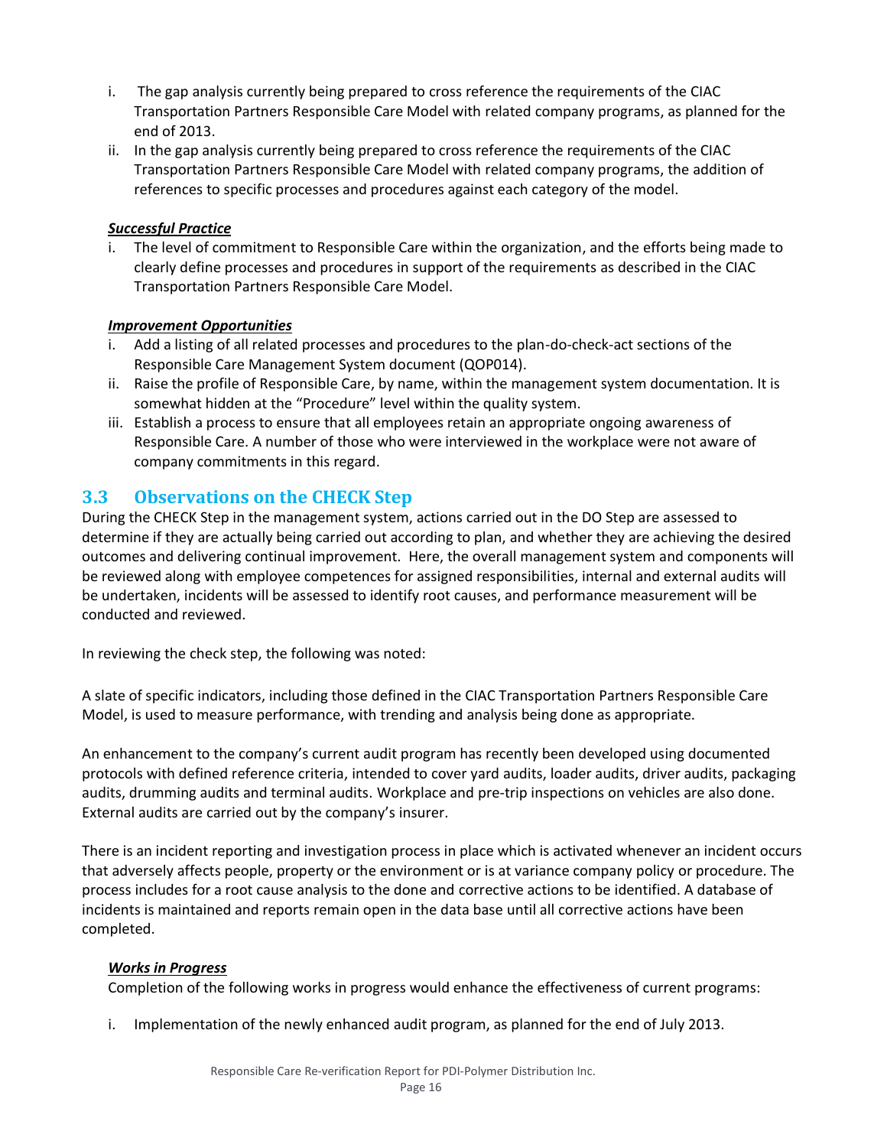- i. The gap analysis currently being prepared to cross reference the requirements of the CIAC Transportation Partners Responsible Care Model with related company programs, as planned for the end of 2013.
- ii. In the gap analysis currently being prepared to cross reference the requirements of the CIAC Transportation Partners Responsible Care Model with related company programs, the addition of references to specific processes and procedures against each category of the model.

# *Successful Practice*

i. The level of commitment to Responsible Care within the organization, and the efforts being made to clearly define processes and procedures in support of the requirements as described in the CIAC Transportation Partners Responsible Care Model.

## *Improvement Opportunities*

- i. Add a listing of all related processes and procedures to the plan-do-check-act sections of the Responsible Care Management System document (QOP014).
- ii. Raise the profile of Responsible Care, by name, within the management system documentation. It is somewhat hidden at the "Procedure" level within the quality system.
- iii. Establish a process to ensure that all employees retain an appropriate ongoing awareness of Responsible Care. A number of those who were interviewed in the workplace were not aware of company commitments in this regard.

# **3.3 Observations on the CHECK Step**

During the CHECK Step in the management system, actions carried out in the DO Step are assessed to determine if they are actually being carried out according to plan, and whether they are achieving the desired outcomes and delivering continual improvement. Here, the overall management system and components will be reviewed along with employee competences for assigned responsibilities, internal and external audits will be undertaken, incidents will be assessed to identify root causes, and performance measurement will be conducted and reviewed.

In reviewing the check step, the following was noted:

A slate of specific indicators, including those defined in the CIAC Transportation Partners Responsible Care Model, is used to measure performance, with trending and analysis being done as appropriate.

An enhancement to the company's current audit program has recently been developed using documented protocols with defined reference criteria, intended to cover yard audits, loader audits, driver audits, packaging audits, drumming audits and terminal audits. Workplace and pre-trip inspections on vehicles are also done. External audits are carried out by the company's insurer.

There is an incident reporting and investigation process in place which is activated whenever an incident occurs that adversely affects people, property or the environment or is at variance company policy or procedure. The process includes for a root cause analysis to the done and corrective actions to be identified. A database of incidents is maintained and reports remain open in the data base until all corrective actions have been completed.

## *Works in Progress*

Completion of the following works in progress would enhance the effectiveness of current programs:

i. Implementation of the newly enhanced audit program, as planned for the end of July 2013.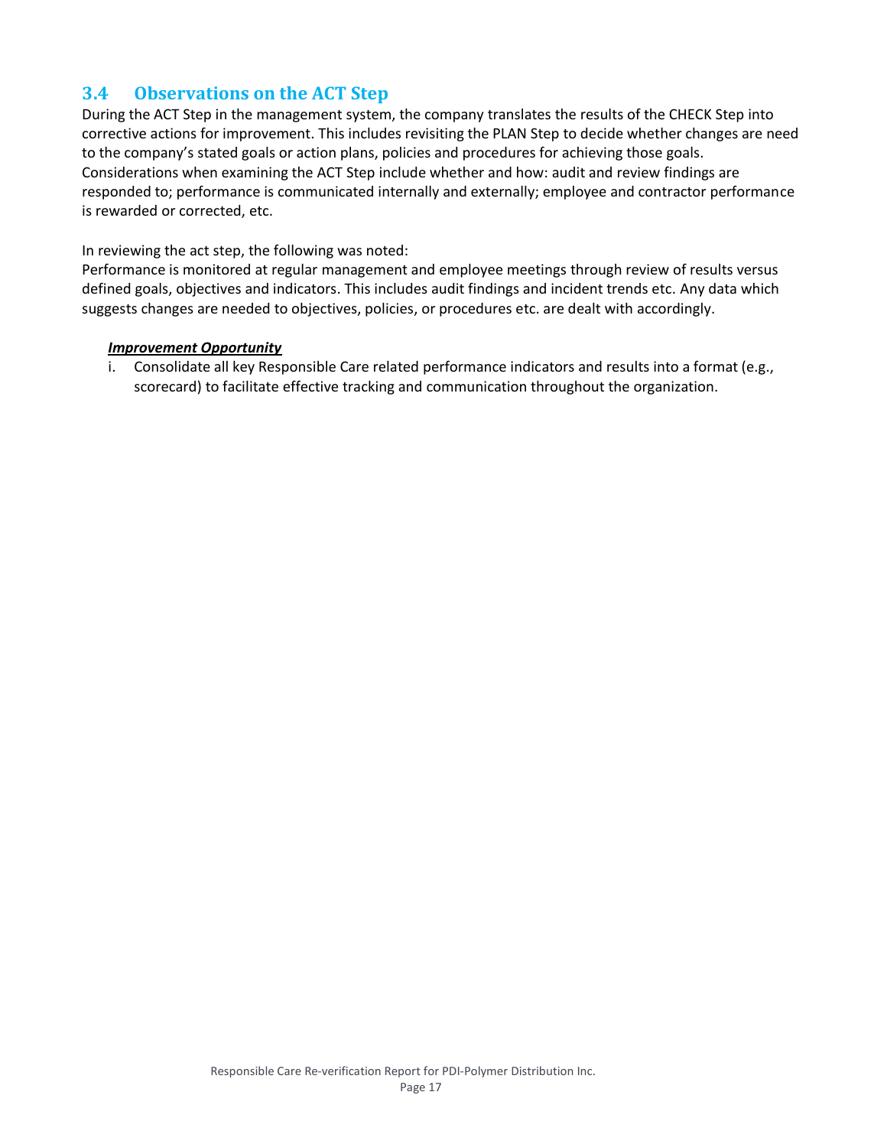# **3.4 Observations on the ACT Step**

During the ACT Step in the management system, the company translates the results of the CHECK Step into corrective actions for improvement. This includes revisiting the PLAN Step to decide whether changes are need to the company's stated goals or action plans, policies and procedures for achieving those goals. Considerations when examining the ACT Step include whether and how: audit and review findings are responded to; performance is communicated internally and externally; employee and contractor performance is rewarded or corrected, etc.

## In reviewing the act step, the following was noted:

Performance is monitored at regular management and employee meetings through review of results versus defined goals, objectives and indicators. This includes audit findings and incident trends etc. Any data which suggests changes are needed to objectives, policies, or procedures etc. are dealt with accordingly.

## *Improvement Opportunity*

i. Consolidate all key Responsible Care related performance indicators and results into a format (e.g., scorecard) to facilitate effective tracking and communication throughout the organization.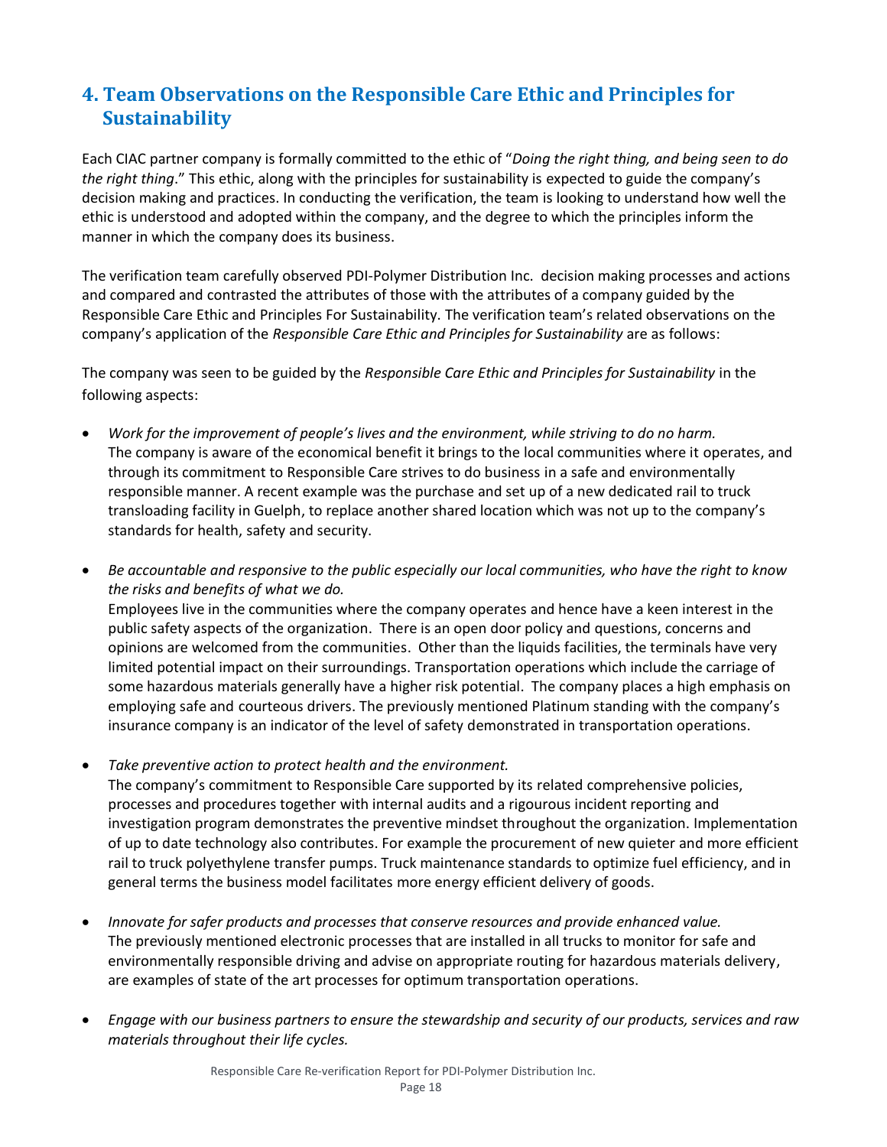# **4. Team Observations on the Responsible Care Ethic and Principles for Sustainability**

Each CIAC partner company is formally committed to the ethic of "*Doing the right thing, and being seen to do the right thing*." This ethic, along with the principles for sustainability is expected to guide the company's decision making and practices. In conducting the verification, the team is looking to understand how well the ethic is understood and adopted within the company, and the degree to which the principles inform the manner in which the company does its business.

The verification team carefully observed PDI-Polymer Distribution Inc. decision making processes and actions and compared and contrasted the attributes of those with the attributes of a company guided by the Responsible Care Ethic and Principles For Sustainability. The verification team's related observations on the company's application of the *Responsible Care Ethic and Principles for Sustainability* are as follows:

The company was seen to be guided by the *Responsible Care Ethic and Principles for Sustainability* in the following aspects:

• *Work for the improvement of people's lives and the environment, while striving to do no harm.* The company is aware of the economical benefit it brings to the local communities where it operates, and through its commitment to Responsible Care strives to do business in a safe and environmentally responsible manner. A recent example was the purchase and set up of a new dedicated rail to truck transloading facility in Guelph, to replace another shared location which was not up to the company's standards for health, safety and security.

• *Be accountable and responsive to the public especially our local communities, who have the right to know the risks and benefits of what we do.* Employees live in the communities where the company operates and hence have a keen interest in the public safety aspects of the organization. There is an open door policy and questions, concerns and opinions are welcomed from the communities. Other than the liquids facilities, the terminals have very limited potential impact on their surroundings. Transportation operations which include the carriage of some hazardous materials generally have a higher risk potential. The company places a high emphasis on employing safe and courteous drivers. The previously mentioned Platinum standing with the company's insurance company is an indicator of the level of safety demonstrated in transportation operations.

• *Take preventive action to protect health and the environment.*

The company's commitment to Responsible Care supported by its related comprehensive policies, processes and procedures together with internal audits and a rigourous incident reporting and investigation program demonstrates the preventive mindset throughout the organization. Implementation of up to date technology also contributes. For example the procurement of new quieter and more efficient rail to truck polyethylene transfer pumps. Truck maintenance standards to optimize fuel efficiency, and in general terms the business model facilitates more energy efficient delivery of goods.

- *Innovate for safer products and processes that conserve resources and provide enhanced value.* The previously mentioned electronic processes that are installed in all trucks to monitor for safe and environmentally responsible driving and advise on appropriate routing for hazardous materials delivery, are examples of state of the art processes for optimum transportation operations.
- *Engage with our business partners to ensure the stewardship and security of our products, services and raw materials throughout their life cycles.*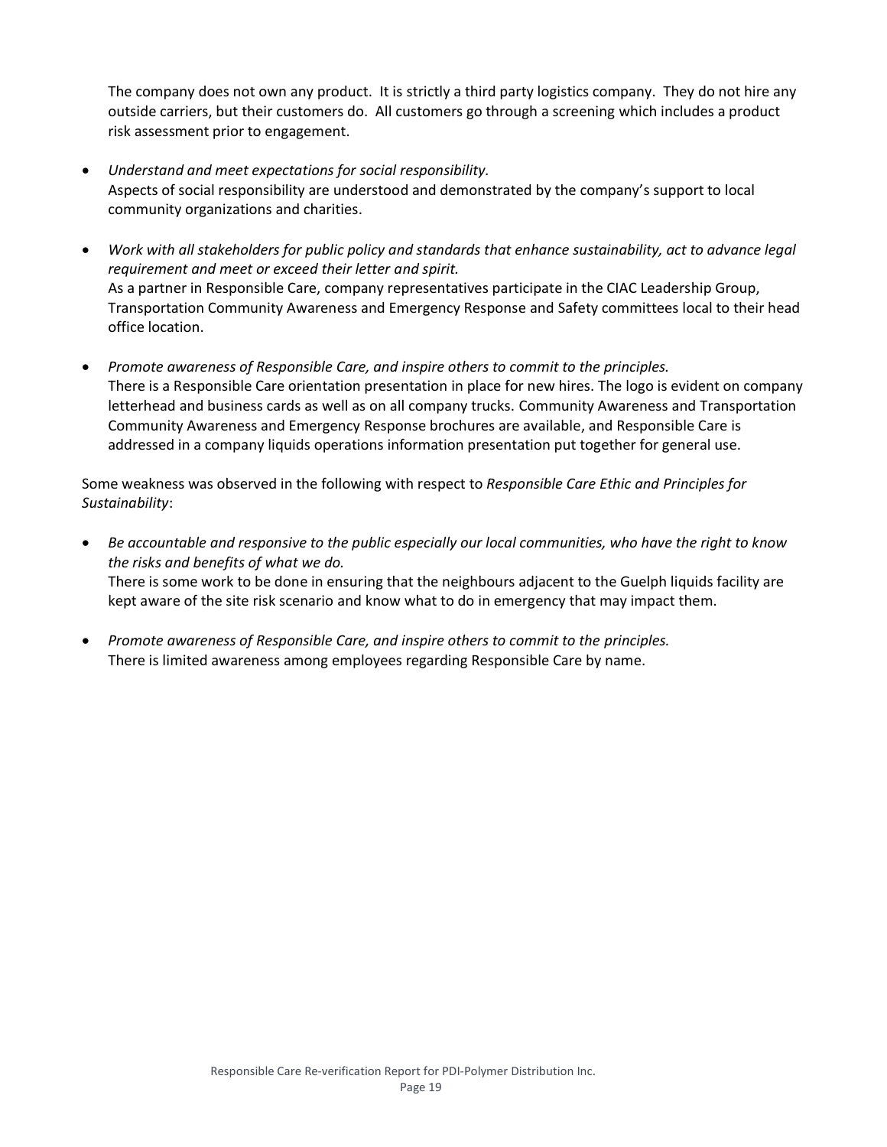The company does not own any product. It is strictly a third party logistics company. They do not hire any outside carriers, but their customers do. All customers go through a screening which includes a product risk assessment prior to engagement.

- *Understand and meet expectations for social responsibility.* Aspects of social responsibility are understood and demonstrated by the company's support to local community organizations and charities.
- *Work with all stakeholders for public policy and standards that enhance sustainability, act to advance legal requirement and meet or exceed their letter and spirit.* As a partner in Responsible Care, company representatives participate in the CIAC Leadership Group, Transportation Community Awareness and Emergency Response and Safety committees local to their head office location.
- *Promote awareness of Responsible Care, and inspire others to commit to the principles.* There is a Responsible Care orientation presentation in place for new hires. The logo is evident on company letterhead and business cards as well as on all company trucks. Community Awareness and Transportation Community Awareness and Emergency Response brochures are available, and Responsible Care is addressed in a company liquids operations information presentation put together for general use.

Some weakness was observed in the following with respect to *Responsible Care Ethic and Principles for Sustainability*:

- *Be accountable and responsive to the public especially our local communities, who have the right to know the risks and benefits of what we do.* There is some work to be done in ensuring that the neighbours adjacent to the Guelph liquids facility are kept aware of the site risk scenario and know what to do in emergency that may impact them.
- *Promote awareness of Responsible Care, and inspire others to commit to the principles.* There is limited awareness among employees regarding Responsible Care by name.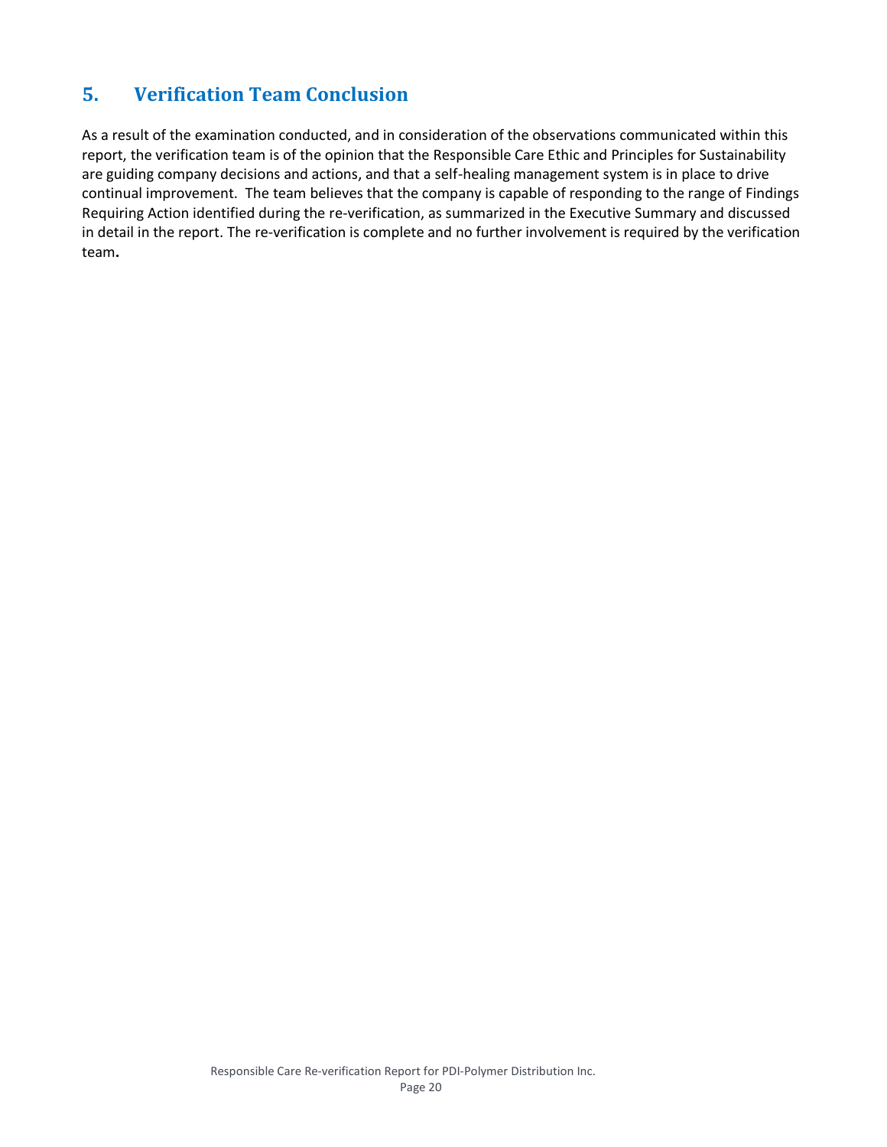# **5. Verification Team Conclusion**

As a result of the examination conducted, and in consideration of the observations communicated within this report, the verification team is of the opinion that the Responsible Care Ethic and Principles for Sustainability are guiding company decisions and actions, and that a self-healing management system is in place to drive continual improvement. The team believes that the company is capable of responding to the range of Findings Requiring Action identified during the re-verification, as summarized in the Executive Summary and discussed in detail in the report. The re-verification is complete and no further involvement is required by the verification team**.**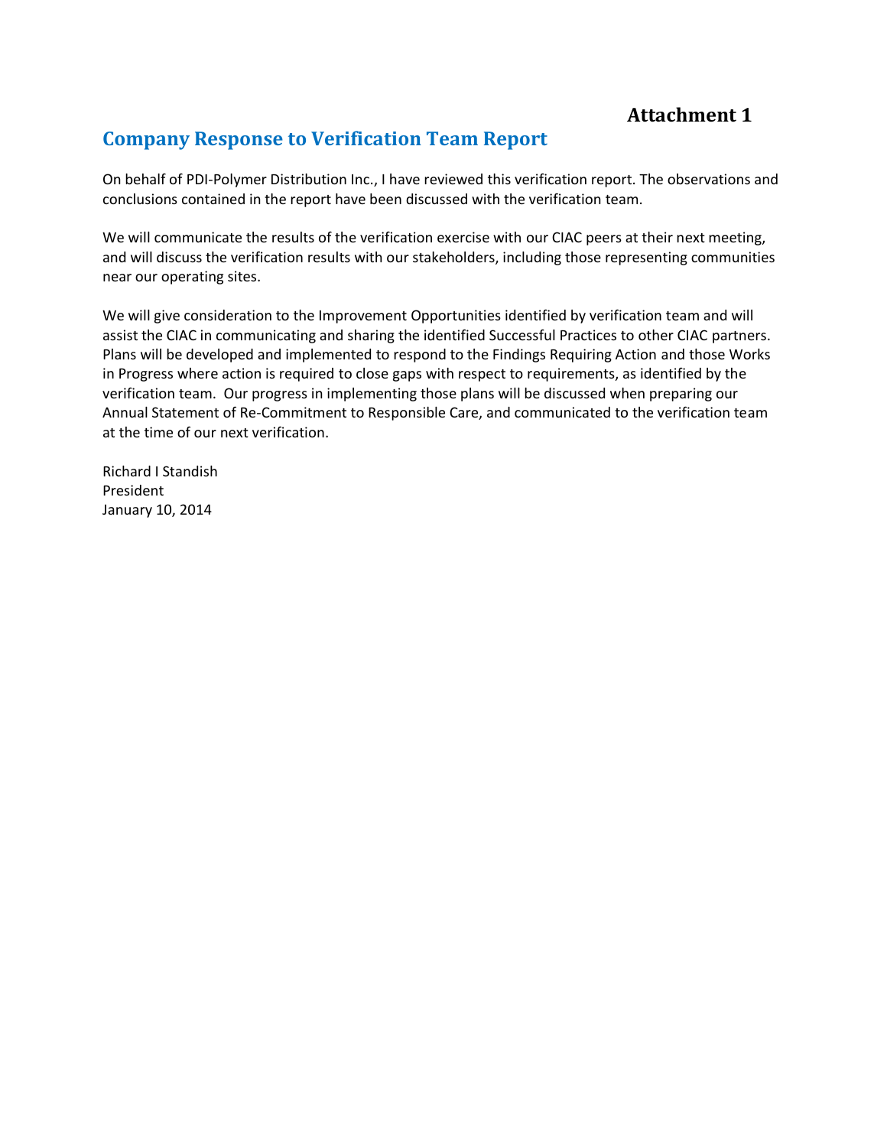# **Attachment 1**

# **Company Response to Verification Team Report**

On behalf of PDI-Polymer Distribution Inc., I have reviewed this verification report. The observations and conclusions contained in the report have been discussed with the verification team.

We will communicate the results of the verification exercise with our CIAC peers at their next meeting, and will discuss the verification results with our stakeholders, including those representing communities near our operating sites.

We will give consideration to the Improvement Opportunities identified by verification team and will assist the CIAC in communicating and sharing the identified Successful Practices to other CIAC partners. Plans will be developed and implemented to respond to the Findings Requiring Action and those Works in Progress where action is required to close gaps with respect to requirements, as identified by the verification team. Our progress in implementing those plans will be discussed when preparing our Annual Statement of Re-Commitment to Responsible Care, and communicated to the verification team at the time of our next verification.

Richard I Standish President January 10, 2014